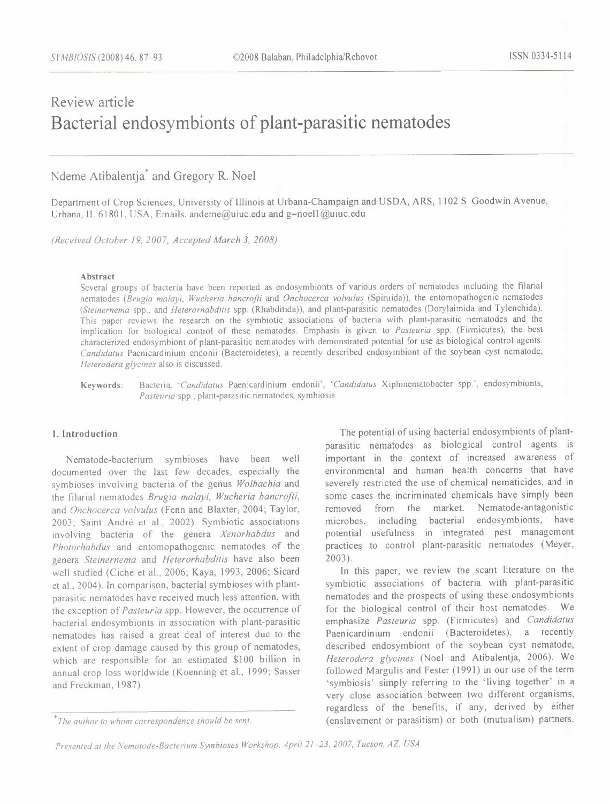# Review article **Bacterial endosymbionts of plant-parasitic nematodes**

Ndeme Atibalentja' and Gregory R. Noel

Department of Crop Sciences, University of Illinois at Urbana-Champaign and USDA, ARS, 1102 S. Goodwin A venue, Urbana, IL 61801, USA, Emails. andeme@uiuc.edu and g-noell@uiuc.edu

*(Received October 19, 2007; Accepted March 3, 2008)* 

#### Abstract

Several groups of bacteria have been reported as endosymbionts of various orders of nematodes including the filarial nematodes *(Brugia malayi, Wucheria bancrofti* and *Onchocerca volvulus* (Spiruida)), the entomopathogenic nematodes *(Steinernema* spp .. and *Heterorhabditis* spp. (Rhabditida)), and plant-parasitic nematodes (Dorylaimida and Tylenchida). This paper reviews the research on the symbiotic associations of bacteria with plant-parasitic nematodes and the implication for biological control of these nematodes. Emphasis is given to *Pasteuria* spp, (Firmicutes), the best characterized endosymbiont of plant-parasitic nematodes with demonstrated potential for use as biological control agents. *Candidatus* Paenicardinium endonii (Bacteroidetes), a recently described endosymbiont of the soybean cyst nematode, *Heterodera glycines* also is discussed.

Keywords: Bacteria *'Candidatus* Paenicardinium endonii', *"Candidatus* Xiphinematobacter spp, ', endosymbionts, *Pasteuria* spp., plant-parasitic nematodes, symbiosis

## **l. Introduction**

Nematode-bacterium symbioses have been well documented over the last few decades, especially the symbioses involving bacteria of the genus *Wolbachia* and the filarial nematodes *Brugia malayi, Wucheria bancrofti,*  and *Onchocerca volvulus* (Fenn and Blaxter, 2004; Taylor, 2003; Saint André et al., 2002). Symbiotic associations involving bacteria of the genera *Xenorhabdus* and *Photorhabdus* and entomopathogenic nematodes of the genera *Steinernema* and *Heterorhabditis* have also been well studied (Ciche et al., 2006; Kaya, 1993, 2006; Sicard et al., 2004). In comparison, bacterial symbioses with plantparasitic nematodes have received much less attention, with the exception of *Pasteuria* spp. However, the occurrence of bacterial endosymbionts in association with plant-parasitic nematodes has raised a great deal of interest due to the extent of crop damage caused by this group of nematodes, which are responsible for an estimated \$100 billion in annual crop loss worldwide (Koenning et al., 1999; Sasser and Freckman, 1987).

The potential of using bacterial endosymbionts of plantparasitic nematodes as biological control agents is important in the context of increased awareness of environmental and human health concerns that have severely restricted the use of chemical nematicides, and in some cases the incriminated chemicals have simply been removed from the market. Nematode-antagonistic microbes, including bacterial endosymbionts, have potential usefulness in integrated pest management practices to control plant-parasitic nematodes (Meyer, 2003).

In this paper, we review the scant literature on the symbiotic associations of bacteria with plant-parasitic nematodes and the prospects of using these endosymbionts for the biological control of their host nematodes. We emphasize *Pasteuria* spp. (Firmicutes) and *Candidatus*  Paenicardinium endonii (Bacteroidetes), a recently described endosymbiont of the soybean cyst nematode, *Heterodera glycines* (Noel and Atibalentja, 2006). We followed Margulis and Fester ( 1991) in our use of the term 'symbiosis' simply referring to the 'living together' in a very close association between two different organisms, regardless of the benefits, if any, derived by either (enslavement or parasitism) or both (mutualism) partners.

*<sup>\*</sup>rhe author to whom correspondence should be sent.* 

*Presented at the Nematode-Bacterium Symbioses Workshop. April 21-23, 2007, Tucson, AZ, USA*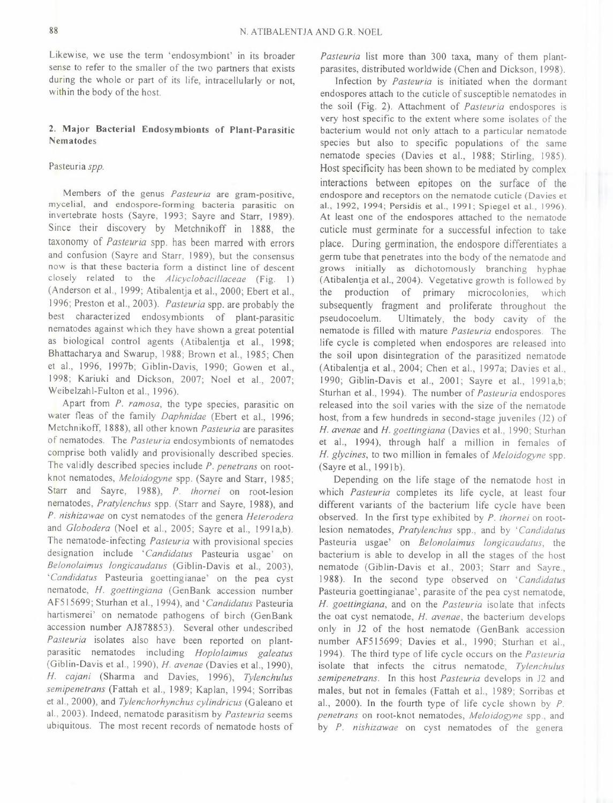Likewise, we use the term 'endosyrnbiont' in its broader sense to refer to the smaller of the two partners that exists during the whole or part of its life, intracellularly or not, within the body of the host.

## 2. Major Bacterial Endosymbionts of Plant-Parasitic Nematodes

## Pasteuria *spp.*

Members of the genus *Pasteuria* are gram-positive, mycelial, and endospore-forming bacteria parasitic on invertebrate hosts (Sayre, 1993; Sayre and Starr, 1989). Since their discovery by Metchnikoff in 1888, the taxonomy of *Pasteuria* spp. has been marred with errors and confusion (Sayre and Starr, 1989), but the consensus now is that these bacteria form a distinct line of descent closely related to the *Alicyclobacillaceae* (Fig. 1) (Anderson et al., 1999; Atibalentja et al., 2000; Ebert et al., 1996; Preston et al., 2003). *Pasteuria* spp. are probably the best characterized endosymbionts of plant-parasitic nematodes against which they have shown a great potential as biological control agents (Atibalentja et al., 1998; Bhattacharya and Swarup, 1988; Brown et al., 1985; Chen et al., 1996, 1997b; Giblin-Davis, 1990; Gowen et al., 1998; Kariuki and Dickson, 2007; Noel et al., 2007; Weibelzahl-Fulton et al., 1996).

Apart from *P. ramosa,* the type species, parasitic on water fleas of the family *Daphnidae* (Ebert et al., 1996; Metchnikoff, 1888), all other known *Pasteuria* are parasites of nematodes. The *Pasteuria* endosymbionts of nematodes comprise both validly and provisionally described species. The validly described species include *P. penetrans* on rootknot nematodes, *Meloidogyne* spp. (Sayre and Starr, 1985; Starr and Sayre, 1988), *P. thornei* on root-lesion nematodes, *Pratylenchus* spp. (Starr and Sayre, 1988), and *P. nishizawae* on cyst nematodes of the genera *Heterodera*  and *Globodera* (Noel et al., 2005; Sayre et al., 1991a,b). The nematode-infecting *Pasteuria* with provisional species designation include *"Candidatus* Pasteuria usgae' on *Belonolaimus longicaudatus* (Giblin-Davis et al., 2003), *"Candidatus* Pasteuria goettingianae' on the pea cyst nematode, *H. goettingiana* (GenBank accession number AF5 l 5699; Sturhan et al., 1994), and *"Candidatus* Pasteuria hartismerei' on nematode pathogens of birch (GenBank accession number AJ878853). Several other undescribed *Pasteuria* isolates also have been reported on plantparasitic nematodes including *Hoplolaimus galeatus* (Giblin-Davis et al., 1990), *H. avenae* (Davies et al., 1990), *H. cajani* (Sharma and Davies, 1996), *Tylenchulus semipenetrans* (Fattah et al., 1989; Kaplan, 1994; Sorribas et al., 2000), and *Tylenchorhynchus cylindricus* (Galeano et al., 2003). Indeed, nematode parasitism by *Pasteuria* seems ubiquitous. The most recent records of nematode hosts of

*Pasteuria* list more than 300 taxa, many of them plantparasites, distributed worldwide (Chen and Dickson, 1998).

Infection by *Pasteuria* is initiated when the dormant endospores attach to the cuticle of susceptible nematodes in the soil (Fig. 2). Attachment of *Pasteuria* endospores is very host specific to the extent where some isolates of the bacterium would not only attach to a particular nematode species but also to specific populations of the same nematode species (Davies et al., 1988; Stirling, 1985). Host specificity has been shown to be mediated by complex interactions between epitopes on the surface of the endospore and receptors on the nematode cuticle (Davies et al., 1992, 1994; Persidis et al., 1991; Spiegel et al., 1996). At least one of the endospores attached to the nematode cuticle must germinate for a successful infection to take place. During germination, the endospore differentiates a germ tube that penetrates into the body of the nematode and grows initially as dichotomously branching hyphae (Atibalentja et al., 2004). Vegetative growth is followed by the production of primary microcolonies, which subsequently fragment and proliferate throughout the pseudocoelum. Ultimately, the body cavity of the nematode is filled with mature *Pasteuria* endospores. The life cycle is completed when endospores are released into the soil upon disintegration of the parasitized nematode (Atibalentja et al., 2004; Chen et al., 1997a; Davies et al., 1990; Giblin-Davis et al., 2001; Sayre et al., 1991a,b; Sturhan et al., 1994). The number of *Pasteuria* endospores released into the soil varies with the size of the nematode host, from a few hundreds in second-stage juveniles (J2) of *H. avenae* and *H. goettingiana* (Davies et al., 1990; Sturhan et al., 1994), through half a million in females of *H. glycines,* to two million in females of *Meloidogyne* spp. (Sayre et al., 1991b).

Depending on the life stage of the nematode host in which *Pasteuria* completes its life cycle, at least four different variants of the bacterium life cycle have been observed. In the first type exhibited by *P. thornei* on rootlesion nematodes, *Pratylenchus* spp., and by *"Candidatus*  Pasteuria usgae' on *Belonolaimus longicaudatus,* the bacterium is able to develop in all the stages of the host nematode (Giblin-Davis et al., 2003; Starr and Sayre., 1988). In the second type observed on *'Candidatus*  Pasteuria goettingianae', parasite of the pea cyst nematode, *H. goettingiana,* and on the *Pasteuria* isolate that infects the oat cyst nematode, *H. avenae,* the bacterium develops only in J2 of the host nematode (GenBank accession number AF515699; Davies et al., 1990; Sturhan et al., 1994). The third type of life cycle occurs on the *Pasteuria*  isolate that infects the citrus nematode, *Tylenchulus semipenetrans.* In this host *Pasteuria* develops in J2 and males, but not in females (Fattah et al., 1989; Sorribas et al., 2000). In the fourth type of life cycle shown by *P. penetrans* on root-knot nematodes, *Meloidogyne* spp., and by *P. nishizawae* on cyst nematodes of the genera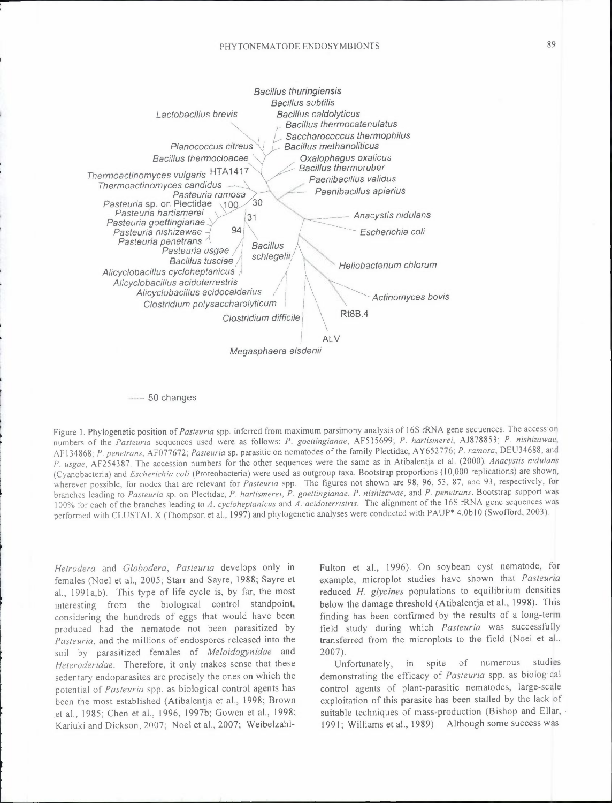

50 changes

Figure I. Phylogenetic position of *Pasteuria* spp. inferred from maximum parsimony analysis of 16S rRNA gene sequences. The accession numbers of the *Pasteuria* sequences used were as follows: *P. goettingianae,* AFS 15699; *P. hartismerei,* AJ878853; *P. nishizawae,*  AF 134868; *P. penetrans,* AF077672; *Pasteuria* sp. parasitic on nematodes of the family Plectidae, A Y652776; *P. ramosa,* DEU34688; and *P. usgae,* AF254387. The accession numbers for the other sequences were the same as in Atibalentja et al. (2000). *Anacystis nidulans*  (Cyanobacteria) and *Escherichia coli* (Proteobacteria) were used as outgroup taxa. Bootstrap proportions (10,000 replications) are shown, wherever possible, for nodes that are relevant for *Pasteuria* spp, The figures not shown are 98, 96, 53, 87, and 93, respectively, for branches leading to *Pasteuria* sp. on Plectidae, *P. hartismerei, P. goettingianae, P. nishizawae,* and *P. penetrans .* Bootstrap support was 100% for each of the branches leading to *A. cycloheptanicus* and *A. acidoterristris.* The alignment of the 16S rRNA gene sequences was performed with CLUSTAL X (Thompson et al., 1997) and phylogenetic analyses were conducted with PAUP\* 4.0b 10 (Swofford, 2003).

*Hetrodera* and *Globodera, Pasteuria* develops only in females (Noel et al., 2005; Starr and Sayre, 1988; Sayre et al., 1991a,b). This type of life cycle is, by far, the most interesting from the biological control standpoint, considering the hundreds of eggs that would have been produced had the nematode not been parasitized by *Pasteuria,* and the millions of endospores released into the soil by parasitized females of *Meloidogynidae* and *Heteroderidae.* Therefore, it only makes sense that these sedentary endoparasites are precisely the ones on which the potential of *Pasteuria* spp. as biological control agents has been the most established (Atibalentja et al., 1998; Brown .et al., 1985; Chen et al., 1996, 1997b; Gowen et al., 1998; Kariuki and Dickson, 2007; Noel et al., 2007; WeibelzahlFulton et al., 1996). On soybean cyst nematode, for example, microplot studies have shown that *Pasteuria*  reduced *H. glycines* populations to equilibrium densities below the damage threshold (Atibalentja et al., 1998). This finding has been confirmed by the results of a long-term field study during which *Pasteuria* was successfully transferred from the microplots to the field (Noel et al., 2007).

Unfortunately, in spite of numerous studies demonstrating the efficacy of *Pasteuria* spp. as biological control agents of plant-parasitic nematodes, large-scale exploitation of this parasite has been stalled by the lack of suitable techniques of mass-production (Bishop and Ellar, 1991; Williams et al., 1989). Although some success was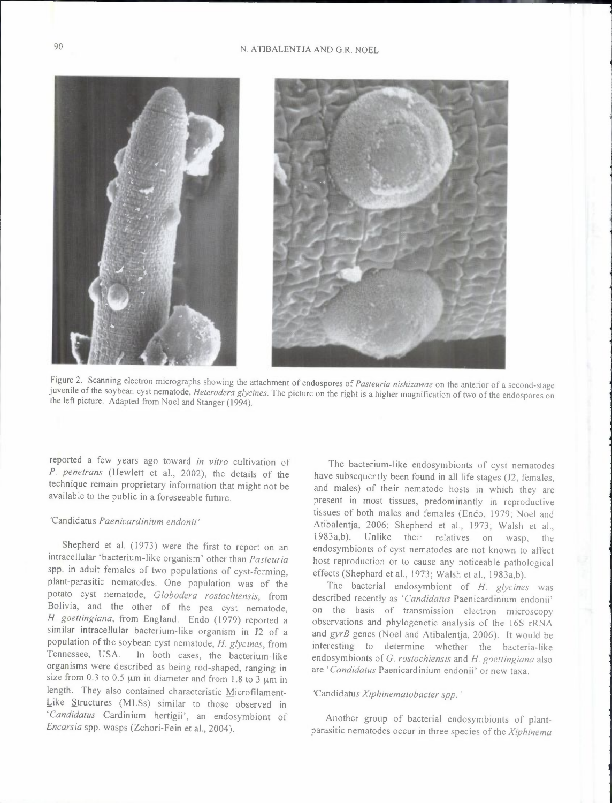

Figure 2. Scanning electron micrographs showing the attachment of endospores of *Pasteuria nishizawae* on the anterior of a second-stage juvenile of the soybean cyst nematode, *Heterodera glycines.* The picture on the right is a higher magnification of two of the endospores on the left picture. Adapted from Noel and Stanger (1994).

reported a few years ago toward *in vitro* cultivation of *P. penetrans* (Hewlett et al., 2002), the details of the technique remain proprietary information that might not be available to the public in a foreseeable future.

# 'Candidatus *Paenicardinium endonii'*

Shepherd et al. (1973) were the first to report on an intracellular 'bacterium-like organism' other than *Pasteuria*  spp. in adult females of two populations of cyst-forming, plant-parasitic nematodes. One population was of the potato cyst nematode, *Globodera rostochiensis,* from Bolivia, and the other of the pea cyst nematode, *H. goettingiana,* from England. Endo (1979) reported a similar intracellular bacterium-like organism in *12* of a population of the soybean cyst nematode, *H. glycines,* from Tennessee, USA. In both cases, the bacterium-like organisms were described as being rod-shaped, ranging in size from 0.3 to 0.5  $\mu$ m in diameter and from 1.8 to 3  $\mu$ m in length. They also contained characteristic Microfilament-Like Structures (MLSs) similar to those observed in *'Candidatus* Cardinium hertigii', an endosymbiont of *Encarsia* spp. wasps (Zchori-Fein et al., 2004).

The bacterium-like endosymbionts of cyst nematodes have subsequently been found in all life stages (J2, females, and males) of their nematode hosts in which they are present in most tissues, predominantly in reproductive tissues of both males and females (Endo, 1979; Noel and Atibalentja, 2006; Shepherd et al., 1973; Walsh et al., 1983a,b). Unlike their relatives on wasp, endosymbionts of cyst nematodes are not known to affect host reproduction or to cause any noticeable pathological effects (Shephard et al., 1973; Walsh et al., 1983a,b).

The bacterial endosymbiont of *H. glycines* was described recently as *"Candidatus* Paenicardinium endonii' on the basis of transmission electron microscopy observations and phylogenetic analysis of the 16S rRNA and *gyrB* genes (Noel and Atibalentja, 2006). It would be interesting to determine whether the bacteria-like endosymbionts of *C. rostochiensis* and *H. goettingiana* also are *"Candidatus* Paenicardinium endonii' or new taxa.

# 'Candidatus *Xiphinematobacter spp. '*

Another group of bacterial endosymbionts of plantparasitic nematodes occur in three species of the *Xiphinema*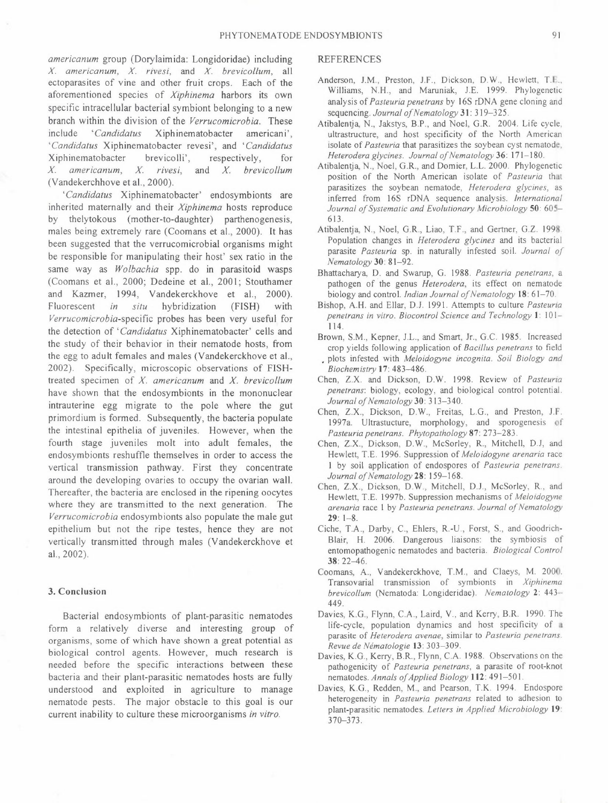*americanum* group (Dorylaimida: Longidoridae) including *X. americanum, X. rivesi,* and *X. brevicollum,* all ectoparasites of vine and other fruit crops. Each of the aforementioned species of *Xiphinema* harbors its own specific intracellular bacterial symbiont belonging to a new branch within the division of the *Verrucomicrobia.* These include *"Candidatus* Xiphinematobacter americani', *'Candidatus* Xiphinematobacter revesi', and *"Candidatus*  Xiphinematobacter brevicolli', respectively, for *X. americanum, X. rivesi,* and *X. brevicollum*  (Vandekerchhove et al., 2000).

*"Candidatus* Xiphinematobacter' endosymbionts are inherited maternally and their *Xiphinema* hosts reproduce by thelytokous (mother-to-daughter) parthenogenesis, males being extremely rare (Coomans et al., 2000). It has been suggested that the verrucomicrobial organisms might be responsible for manipulating their host' sex ratio in the same way as *Wolbachia* spp. do in parasitoid wasps (Coomans et al., 2000; Dedeine et al., 2001; Stouthamer and Kazmer, 1994, Vandekerckhove et al., 2000). Fluorescent *in situ* hybridization (FISH) with *Verrucomjcrobia-specific* probes has been very useful for the detection of *"Candidatus* Xiphinematobacter' cells and the study of their behavior in their nematode hosts, from the egg to adult females and males (Vandekerckhove et al., 2002). Specifically, microscopic observations of FISHtreated specimen of *X. americanum* and *X. brevicollum*  have shown that the endosymbionts in the mononuclear intrauterine egg migrate to the pole where the gut primordium is formed. Subsequently, the bacteria populate the intestinal epithelia of juveniles. However, when the fourth stage juveniles molt into adult females, the endosymbionts reshuffle themselves in order to access the vertical transmission pathway. First they concentrate around the developing ovaries to occupy the ovarian wall. Thereafter, the bacteria are enclosed in the ripening oocytes where they are transmitted to the next generation. The *Verrucomicrobia* endosymbionts also populate the male gut epithelium but not the ripe testes, hence they are not vertically transmitted through males (Vandekerckhove et al., 2002).

### 3. Conclusion

Bacterial endosymbionts of plant-parasitic nematodes form a relatively diverse and interesting group of organisms, some of which have shown a great potential as biological control agents. However, much research is needed before the specific interactions between these bacteria and their plant-parasitic nematodes hosts are fully understood and exploited in agriculture to manage nematode pests. The major obstacle to this goal is our current inability to culture these microorganisms *in vitro.* 

#### REFERENCES

- Anderson, J.M., Preston, J.F., Dickson, D. W., Hewlett, T.E., Williams, N.H., and Maruniak, J.E. 1999. Phylogenetic analysis of *Pasteuria penetrans* by 16S rDNA gene cloning and sequencing. *Journal of Nematology* 31: 319-325.
- Atibalentja, N., Jakstys, B.P., and Noel, G.R. 2004. Life cycle, ultrastructure, and host specificity of the North American isolate of *Pasteuria* that parasitizes the soybean cyst nematode, *Heterodera glycines. Journal of Nematology* 36: 171-180.
- Atibalentja, N., Noel, G.R., and Domier, L.L. 2000. Phylogenetic position of the North American isolate of *Pasteuria* that parasitizes the soybean nematode, *Heterodera glycines,* as inferred from l 6S rDNA sequence analysis. *International Journal of Systematic and Evolutionary Microbiology* 50: 605- 613.
- Atibalentja, N., Noel, G.R., Liao, T.F., and Gertner, G.Z. 1998. Population changes in *Heterodera glycines* and its bacterial parasite *Pasteuria* sp. in naturally infested soil. *Journal of Nematology* 30: 81-92.
- Bhattacharya, D. and Swarup, G. 1988. *Pasteuria penetrans,* a pathogen of the genus *Heterodera*, its effect on nematode biology and control. *Indian Journal of Nematology* 18: 61-70.
- Bishop, A.H. and Ellar, D.J. 1991. Attempts to culture *Pasteuria penetrans in vitro. Biocontrol Science and Technology* l: 101- 114.
- Brown, S.M., Kepner, J.L., and Smart, Jr., G.C. 1985. Increased crop yields following application of *Bacillus penetrans* to field • plots infested with *Meloidogyne incognita. Soil Biology and Biochemistry* 17: 483-486.
- Chen, Z.X. and Dickson, D.W. 1998. Review of *Pasteuria penetrans:* biology, ecology, and biological control potential. *Journal of Nematology* 30: 313-340.
- Chen, Z.X., Dickson, D.W., Freitas, L.G., and Preston, J.F. 1997a. Ultrastucture, morphology, and sporogenesis of *Pasteuria penetrans. Phytopathology* 87: 273-283.
- Chen, Z.X., Dickson, D. W., McSorley, R., Mitchell, D.J, and Hewlett, T.E. 1996. Suppression of *Meloidogyne arenaria* race 1 by soil application of endospores of *Pasteuria penetrans.*  Journal of Nematology 28: 159-168.
- Chen, Z.X., Dickson, D.W., Mitchell, D.J., McSorley, R, and Hewlett, T.E. 1997b. Suppression mechanisms of *Meloidogyne arenaria* race 1 by *Pasteuria penetrans. Journal of Nematology*  29: 1-8.
- Ciche, T.A., Darby, C., Ehlers, R.-U., Forst, S., and Goodrich-Blair, H. 2006. Dangerous liaisons: the symbiosis of entomopathogenic nematodes and bacteria. *Biological Control*  38: 22-46.
- Coornans, A., Vandekerckhove, T.M., and Claeys, M. 2000. Transovarial transmission of symbionts in *Xiphinema brevicollum* (Nematoda: Longideridae). *Nematology* 2: 443-' 449.
- Davies, K.G., Flynn, C.A., Laird, V., and Kerry, B.R. 1990. The life-cycle, population dynamics and host specificity of a parasite of *Heterodera avenae,* similar to *Pasteuria penetrans. Revue de Nematologie* 13: 303-309.
- Davies, K.G., Kerry, B.R., Flynn, C.A. 1988. Observations on the pathogenicity of *Pasteuria penetrans,* a parasite of root-knot nematodes. *Annals of Applied Biology* 112: 491-501.
- Davies, K.G., Redden, M., and Pearson, T.K. 1994. Endospore heterogeneity in *Pasteuria penetrans* related to adhesion to plant-parasitic nematodes. *Letters in Applied Microbiology* 19: 370-373.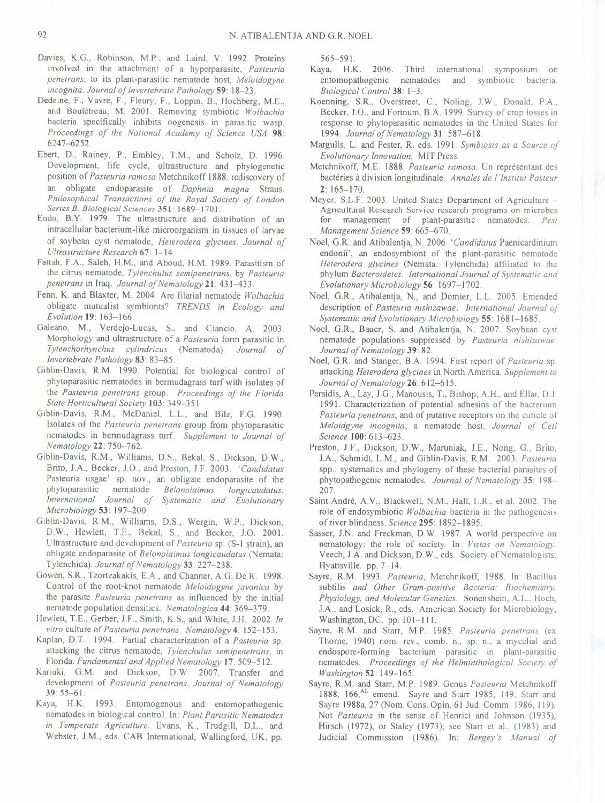- Davies, K.G., Robinson, M.P., and Laird, V. 1992. Proteins involved in the attachment of a hyperparasite, *Pasteuria penetrans,* to its plant-parasitic nematode host, *Meloidogyne incognita. Journal of Invertebrate Pathology* 59: 18-23.
- Dedeine, F., Vavre, F., Fleury, F., Loppin, 8., Hochberg, M.E., and Boulétreau, M. 2001. Removing symbiotic Wolbachia bacteria specifically inhibits oogenesis in parasitic wasp. *Proceedings of the National Academy of Science USA* 98: 6247-6252.
- Ebert, D., Rainey, P., Embley, T.M., and Scholz, D. 1996. Development, life cycle, ultrastructure and phylogenetic position of *Pasteuria ramosa* Metchnikoff 1888: rediscovery of an obligate endoparasite of *Daphnia magna* Straus. *Philosophical Transactions of the Royal Society of London Series B, Biological Sciences* 351: 1689-1701.
- Endo, B.Y. 1979. The ultrastructure and distribution of an intracellular bacterium-like microorganism in tissues of larvae of soybean cyst nematode, *Heterodera glycines. Journal of Ultrastructure Research* 67: 1-14.
- Fattah, F.A., Saleh, H.M., and Aboud, H.M. 1989. Parasitism of the citrus nematode, *Tylenchulus semipenetrans,* by *Pasteuria penetrans* in Iraq. *Journal of Nematology* 21: 431-433.
- Fenn, K. and Blaxter, M. 2004. Are filarial nematode *Wolbachia*  obligate mutualist symbionts? *TRENDS in Ecology and Evolution* 19: 163-166.
- Galeano, M., Verdejo-Lucas, S., and Ciancio, A. 2003. Morphology and ultrastructure of a *Pasteuria* form parasitic in *Tylenchorhynchus cylindricus* (Nematoda). *Journal of Invertebrate Pathology* 83: 83-85.
- Giblin-Davis, R.M. 1990. Potential for biological control of phytoparasitic nematodes in bermudagrass turf with isolates of the *Pasteuria penetrans* group. *Proceedings of the Florida State Horticultural Society* 103: 349-351.
- Giblin-Davis, R.M., McDaniel, L.L., and Bilz, F.G. 1990. Isolates of the *Pasteuria penetrans* group from phytoparasitic nematodes in bermudagrass turf. *Supplement to Journal of Nematology* 22: 750-762.
- Giblin-Davis, R.M., Williams, D.S., Bekal, S., Dickson, D.W., Brito, J.A., Becker, J.O., and Preston, J.F. 2003. *"Candidatus*  Pasteuria usgae' sp. nov., an obligate endoparasite of the phytoparasitic nematode *Belonolaimus longicaudatus. International Journal of Systematic and Evolutionary Microbiology* 53: 197-200.
- Giblin-Davis, R.M., Williams, D.S., Wergin, W.P., Dickson, D.W., Hewlett, T.E., Bekal, S., and Becker, J.O. 2001. Ultrastructure and development of *Pasteuria* sp. (S-1 strain), an obligate endoparasite of *Belonolaimus longicaudatus* (Nemata: Tylenchida). *Journal of Nematology* 33: 227-238.
- Gowen, S.R., Tzortzakakis, E.A., and Channer, A.G. De R. 1998. Control of the root-knot nematode *Meloidogyne javanica* by the parasite *Pasteuria penetrans* as influenced by the initial nematode population densities. *Nematologica* 44: 369-379.
- Hewlett, T.E., Gerber, J.F., Smith, K.S., and White, J.H. 2002. *In vitro* culture of *Pasteuria penetrans. Nematology* 4: 152-153.
- Kaplan, D.T. 1994. Partial characterization of a *Pasteuria* sp. attacking the citrus nematode, *Tylenchulus semipenetrans,* in Florida. Fundamental and Applied Nematology 17: 509-512.
- Kariuki, G.M. and Dickson, D.W. 2007. Transfer and development of *Pasteuria penetrans. Journal of Nematology*  39: 55-61.
- Kaya, H.K. 1993. Entomogenous and entomopathogenic nematodes in biological control. In: *Plant Parasitic Nematodes in Temperate Agriculture.* Evans, K., Trudgill, D.L., and Webster, J.M., eds. CAB International, Wallingford, UK, pp.

565-591.

- Kaya, H.K. 2006. Third international symposium on entomopathogenic nematodes and symbiotic bacteria. *Biological Control* 38: 1-3.
- Koenning, S.R., Overstreet, C., Noling, J.W., Donald, P.A., Becker, J.O., and Fortnum, B.A. 1999. Survey of crop losses in response to phytoparasitic nematodes in the United States for 1994. *Journal of Nematology* 31: 587-618.
- Margulis, L. and Fester, R. eds. 1991. *Symbiosis as a Source of Evolutionary Innovation.* MIT Press.
- Metchnikoff, M.E. 1888. Pasteuria ramosa. Un représentant des bactéries à division longitudinale. Annales de l'Institut Pasteur  $2:165 - 170.$
- Meyer, S.L.F. 2003. United States Department of Agriculture -Agricultural Research Service research programs on microbes for management of plant-parasitic nematodes. *Pest Management Science* 59: 665-670.
- Noel, G.R. and Atibalentja, N. 2006. 'Candidatus Paenicardinium endonii', an endosymbiont of the plant-parasitic nematode *Heterodera glycines* (Nemata: Tylenchida) affiliated to the phylum *Bacteroidetes. International Journal of Systematic and Evolutionary Microbiology* 56: 1697-1702.
- Noel, G.R., Atibalentja, N., and Domier, L.L. 2005. Emended description of *Pasteuria nishizawae. International Journal of Systematic and Evolutionary Microbiology* 55: 1681-1685.
- Noel, G.R., Bauer, S. and Atibalentja, N. 2007. Soybean cyst nematode populations suppressed by *Pasteuria nishizawae. Journal of Nematology* 39: 82.
- Noel, G.R. and Stanger, B.A. 1994. First report of *Pasteuria* sp. attacking *Heterodera glycines* in North America. *Supplement to Journal of Nematology* 26: 612-615.
- Persidis, A., Lay, J.G., Manousis, T., Bishop, A.H., and Ellar, D.J. 1991. Characterization of potential adhesins of the bacterium *Pasteuria penetrans,* and of putative receptors on the cuticle of *Meloidgyne incognita,* a nematode host. *Journal of Cell Science* 100: 613-623.
- Preston, J.F., Dickson, D.W., Maruniak, J.E., Nong, G., Brito, J.A., Schmidt, L.M., and Giblin-Davis, R.M. 2003. *Pasteuria*  spp.: systematics and phylogeny of these bacterial parasites of phytopathogenic nematodes. Journal of Nematology 35: 198-207.
- Saint André, A.V., Blackwell, N.M., Hall, L.R., et al. 2002. The role of endosymbiotic *Wolbachia* bacteria in the pathogenesis of river blindness. *Science* 295: 1892-1895.
- Sasser, J.N. and Freckman, D.W. 1987. A world perspective on nematology: the role of society. In: *Vistas on Nematology.*  Veech, J.A. and Dickson, D.W., eds. Society of Nematologists, Hyattsville. pp. 7-14.
- Sayre, R.M. 1993. *Pasteuria,* Metchnikoff, 1988. In: Bacillus subtilis *and Other Gram-positive Bacteria. Biochemistry, Physiology, and Molecular Genetics.* Sonenshein, A.L., Hoch, J.A., and Losick, R., eds. American Society for Microbiology, Washington, DC. pp. 101-111.
- Sayre, R.M. and Starr, M.P. 1985. *Pasteuria penetrans* (ex Thome, 1940) nom. rev., comb. n., sp. n., a mycelial and endospore-forming bacterium parasitic in plant-parasitic nematodes. *Proceedings of the Helminthological Society of Washington* 52: 149-165.
- Sayre, R.M. and Starr, M.P. 1989. Genus *Pasteuria* Metchnikoff 1888, 166, AL emend. Sayre and Starr 1985, 149, Starr and Sayre 1988a, 27 (Nom. Cons. Opin. 61 Jud. Comm. 1986, 119). Not *Pasteuria* in the sense of Henrici and Johnson (1935), Hirsch (1972), or Staley (1973); see Starr et al., (1983) and Judicial Commission (1986). In: *Bergey's Manual of*